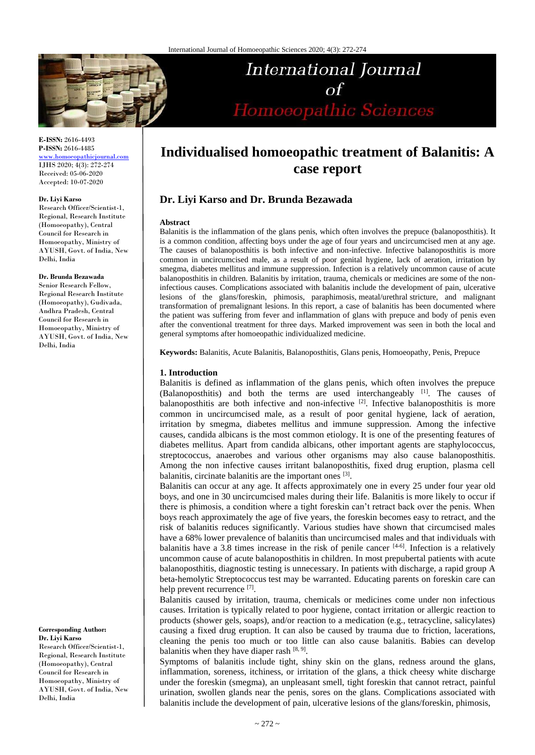

# International Journal  $\alpha f$ Homoeopathic Sciences

**E-ISSN:** 2616-4493 **P-ISSN:** 2616-4485

[www.homoeopathicjournal.com](http://www.homoeopathicjournal.com/) IJHS 2020; 4(3): 272-274 Received: 05-06-2020 Accepted: 10-07-2020

#### **Dr. Liyi Karso**

Research Officer/Scientist-1, Regional, Research Institute (Homoeopathy), Central Council for Research in Homoeopathy, Ministry of AYUSH, Govt. of India, New Delhi, India

#### **Dr. Brunda Bezawada**

Senior Research Fellow, Regional Research Institute (Homoeopathy), Gudivada, Andhra Pradesh, Central Council for Research in Homoeopathy, Ministry of AYUSH, Govt. of India, New Delhi, India

**Corresponding Author: Dr. Liyi Karso**

Research Officer/Scientist-1, Regional, Research Institute (Homoeopathy), Central Council for Research in Homoeopathy, Ministry of AYUSH, Govt. of India, New Delhi, India

## **Individualised homoeopathic treatment of Balanitis: A case report**

### **Dr. Liyi Karso and Dr. Brunda Bezawada**

#### **Abstract**

Balanitis is the inflammation of the glans penis, which often involves the prepuce (balanoposthitis). It is a common condition, affecting boys under the age of four years and uncircumcised men at any age. The causes of balanoposthitis is both infective and non-infective. Infective balanoposthitis is more common in uncircumcised male, as a result of poor genital hygiene, lack of aeration, irritation by smegma, diabetes mellitus and immune suppression. Infection is a relatively uncommon cause of acute balanoposthitis in children. Balanitis by irritation, trauma, chemicals or medicines are some of the noninfectious causes. Complications associated with balanitis include the development of pain, ulcerative lesions of the glans/foreskin, phimosis, paraphimosis, meatal/urethral stricture, and malignant transformation of premalignant lesions. In this report, a case of balanitis has been documented where the patient was suffering from fever and inflammation of glans with prepuce and body of penis even after the conventional treatment for three days. Marked improvement was seen in both the local and general symptoms after homoeopathic individualized medicine.

**Keywords:** Balanitis, Acute Balanitis, Balanoposthitis, Glans penis, Homoeopathy, Penis, Prepuce

#### **1. Introduction**

Balanitis is defined as inflammation of the glans penis, which often involves the prepuce (Balanoposthitis) and both the terms are used interchangeably [1]. The causes of balanoposthitis are both infective and non-infective [2]. Infective balanoposthitis is more common in uncircumcised male, as a result of poor genital hygiene, lack of aeration, irritation by smegma, diabetes mellitus and immune suppression. Among the infective causes, candida albicans is the most common etiology. It is one of the presenting features of diabetes mellitus. Apart from candida albicans, other important agents are staphylococcus, streptococcus, anaerobes and various other organisms may also cause balanoposthitis. Among the non infective causes irritant balanoposthitis, fixed drug eruption, plasma cell balanitis, circinate balanitis are the important ones [3].

Balanitis can occur at any age. It affects approximately one in every 25 under four year old boys, and one in 30 uncircumcised males during their life. Balanitis is more likely to occur if there is phimosis, a condition where a tight foreskin can't retract back over the penis. When boys reach approximately the age of five years, the foreskin becomes easy to retract, and the risk of balanitis reduces significantly. Various studies have shown that circumcised males have a 68% lower prevalence of balanitis than uncircumcised males and that individuals with balanitis have a 3.8 times increase in the risk of penile cancer  $[4-6]$ . Infection is a relatively uncommon cause of acute balanoposthitis in children. In most prepubertal patients with acute balanoposthitis, diagnostic testing is unnecessary. In patients with discharge, a rapid group A beta-hemolytic Streptococcus test may be warranted. Educating parents on foreskin care can help prevent recurrence [7].

Balanitis caused by irritation, trauma, chemicals or medicines come under non infectious causes. Irritation is typically related to poor hygiene, contact irritation or allergic reaction to products (shower gels, soaps), and/or reaction to a medication (e.g., tetracycline, salicylates) causing a fixed drug eruption. It can also be caused by trauma due to friction, lacerations, cleaning the penis too much or too little can also cause balanitis. Babies can develop balanitis when they have diaper rash  $[8, 9]$ .

Symptoms of balanitis include tight, shiny skin on the glans, redness around the glans, inflammation, soreness, itchiness, or irritation of the glans, a thick cheesy white discharge under the foreskin (smegma), an unpleasant smell, tight foreskin that cannot retract, painful urination, swollen glands near the penis, sores on the glans. Complications associated with balanitis include the development of pain, ulcerative lesions of the glans/foreskin, phimosis,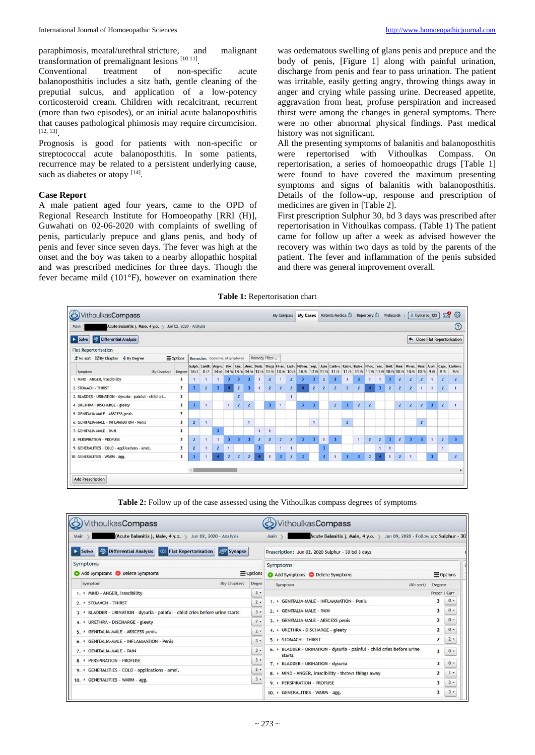paraphimosis, meatal/urethral stricture, and malignant transformation of premalignant lesions [10 11].

Conventional treatment of non-specific acute balanoposthitis includes a sitz bath, gentle cleaning of the preputial sulcus, and application of a low-potency corticosteroid cream. Children with recalcitrant, recurrent (more than two episodes), or an initial acute balanoposthitis that causes pathological phimosis may require circumcision. [12, 13] .

Prognosis is good for patients with non-specific or streptococcal acute balanoposthitis. In some patients, recurrence may be related to a persistent underlying cause, such as diabetes or atopy [14].

#### **Case Report**

A male patient aged four years, came to the OPD of Regional Research Institute for Homoeopathy [RRI (H)], Guwahati on 02-06-2020 with complaints of swelling of penis, particularly prepuce and glans penis, and body of penis and fever since seven days. The fever was high at the onset and the boy was taken to a nearby allopathic hospital and was prescribed medicines for three days. Though the fever became mild (101°F), however on examination there

was oedematous swelling of glans penis and prepuce and the body of penis, [Figure 1] along with painful urination, discharge from penis and fear to pass urination. The patient was irritable, easily getting angry, throwing things away in anger and crying while passing urine. Decreased appetite, aggravation from heat, profuse perspiration and increased thirst were among the changes in general symptoms. There were no other abnormal physical findings. Past medical history was not significant.

All the presenting symptoms of balanitis and balanoposthitis<br>were repertorised with Vithoulkas Compass. On were repertorised with Vithoulkas Compass. On repertorisation, a series of homoeopathic drugs [Table 1] were found to have covered the maximum presenting symptoms and signs of balanitis with balanoposthitis. Details of the follow-up, response and prescription of medicines are given in [Table 2].

First prescription Sulphur 30, bd 3 days was prescribed after repertorisation in Vithoulkas compass. (Table 1) The patient came for follow up after a week as advised however the recovery was within two days as told by the parents of the patient. The fever and inflammation of the penis subsided and there was general improvement overall.

**Table 1:** Repertorisation chart

| Acute Balanitis ), Male, 4 y.o. > Jun 02, 2020 - Analysis<br>Main |                         |                    |                |                                  |                         |                |                |                         |                         |                         |                |                         |                         |                         |                         |                         |                         |                |                         |                         |                |                |                         |                         |                | $\left( 2\right)$                                                                                                                                                     |
|-------------------------------------------------------------------|-------------------------|--------------------|----------------|----------------------------------|-------------------------|----------------|----------------|-------------------------|-------------------------|-------------------------|----------------|-------------------------|-------------------------|-------------------------|-------------------------|-------------------------|-------------------------|----------------|-------------------------|-------------------------|----------------|----------------|-------------------------|-------------------------|----------------|-----------------------------------------------------------------------------------------------------------------------------------------------------------------------|
|                                                                   |                         |                    |                |                                  |                         |                |                |                         |                         |                         |                |                         |                         |                         |                         |                         |                         |                |                         |                         |                |                |                         |                         |                |                                                                                                                                                                       |
| <b>OD</b> Differential Analysis<br>Solve                          |                         |                    |                |                                  |                         |                |                |                         |                         |                         |                |                         |                         |                         |                         |                         |                         |                |                         |                         |                |                |                         |                         |                | Close Flat Repertorisation                                                                                                                                            |
| <b>Flat Repertorisation</b>                                       |                         |                    |                |                                  |                         |                |                |                         |                         |                         |                |                         |                         |                         |                         |                         |                         |                |                         |                         |                |                |                         |                         |                |                                                                                                                                                                       |
| X No sort By Chapter ♦ By Degree<br>$\equiv$ Options              |                         |                    |                | Remedies (Score/No. of symptoms) |                         |                |                |                         | Remedy filter           |                         |                |                         |                         |                         |                         |                         |                         |                |                         |                         |                |                |                         |                         |                |                                                                                                                                                                       |
| (By Chapter)<br>Symptom                                           | Degree 16/7             |                    | 8/7            |                                  |                         |                |                |                         |                         |                         |                |                         |                         |                         |                         |                         |                         |                |                         |                         |                |                |                         |                         | 9/5            | Sulph, Canth, Arg-n. Bry. Lyc. Merc. Puls. Thuja Fl-ac. Lach. Nat-m. Sep. Apis Carb-v. Kali-i. Kali-s. Phos. Sec. Bell. Mez. Ph-ac. Psor. Alum. Caps. Carbn-s.<br>9/5 |
| 1. MIND - ANGER, irascibility                                     | 3                       | 1                  |                | $\mathbf{1}$                     | $\overline{\mathbf{3}}$ | 3              |                | $\mathbf{1}$            | $\overline{2}$          | 1                       | $\overline{2}$ | $\overline{\mathbf{3}}$ | 3                       | $\overline{2}$          | 3                       | $\mathbf{1}$            | $\overline{\mathbf{3}}$ | $\mathbf{1}$   | $\mathbf{1}$            | $\overline{\mathbf{3}}$ | $\overline{2}$ | $\overline{2}$ | $\overline{2}$          | $1^{\circ}$             | $\overline{2}$ | $\overline{z}$                                                                                                                                                        |
| 2. STOMACH - THIRST                                               | $\overline{2}$          | $\overline{3}$     | $\overline{2}$ | 3                                | 4                       | $\overline{2}$ | $\overline{3}$ | $\mathbf{1}$            | $\overline{2}$          | $\overline{2}$          | $\overline{2}$ |                         | $\overline{2}$          | $\overline{2}$          | $\overline{2}$          | $\overline{2}$          | $\overline{2}$          |                | $\overline{\mathbf{3}}$ | $\overline{2}$          | $\overline{2}$ | $\overline{2}$ | $\mathbf{1}$            | $\mathbf{1}$            | $\overline{2}$ | 1                                                                                                                                                                     |
| 3. BLADDER - URINATION - dysuria - painful - child cri            | 3                       |                    |                |                                  |                         | $\overline{z}$ |                |                         |                         |                         | 1              |                         |                         |                         |                         |                         |                         |                |                         |                         |                |                |                         |                         |                |                                                                                                                                                                       |
| 4. URETHRA - DISCHARGE - gleety                                   | $\mathbf{z}$            | 3                  | я              |                                  | 1                       | $\overline{z}$ | $\overline{z}$ |                         | $\overline{\mathbf{3}}$ | ٠                       |                | $\overline{\mathbf{3}}$ | R                       |                         | $\overline{z}$          | $\overline{\mathbf{3}}$ | $\overline{z}$          | $\overline{z}$ |                         |                         | $\overline{z}$ | $\overline{z}$ | $\overline{z}$          | $\mathbf{3}$            | $\overline{z}$ |                                                                                                                                                                       |
| 5. GENITALIA-MALE - ABSCESS penis                                 | $\overline{2}$          |                    |                |                                  |                         |                |                |                         |                         |                         |                |                         |                         |                         |                         |                         |                         |                |                         |                         |                |                |                         |                         |                |                                                                                                                                                                       |
| 6. GENITALIA-MALE - INFLAMMATION - Penis                          | 3                       | $\overline{2}$     | ۹              |                                  |                         |                | đ              |                         |                         |                         |                |                         |                         |                         |                         | $\overline{2}$          |                         |                |                         |                         |                |                | $\overline{2}$          |                         |                |                                                                                                                                                                       |
| 7. GENITALIA-MALE - PAIN                                          | 3                       |                    |                | $\overline{\mathbf{3}}$          |                         |                |                | $\mathbf{1}$            | $\overline{1}$          |                         |                |                         |                         |                         |                         |                         |                         |                |                         |                         |                |                |                         |                         |                |                                                                                                                                                                       |
| 8. PERSPIRATION - PROFUSE                                         | $\overline{\mathbf{3}}$ | $\overline{z}$     | ٠              | $\mathbf{L}$                     | $\overline{\mathbf{3}}$ | $\overline{3}$ | 3              | $\overline{2}$          | $\overline{2}$          | $\overline{z}$          | $\overline{z}$ | $\mathbf{3}$            | $\overline{\mathbf{3}}$ | $\mathbf{1}$            | $\overline{\mathbf{3}}$ |                         | $\mathbf{1}$            | $\overline{z}$ | $\overline{z}$          | $\overline{\mathbf{3}}$ | $\overline{z}$ | 3              | $\overline{\mathbf{3}}$ | 1                       | $\overline{z}$ | $\overline{3}$                                                                                                                                                        |
| 9. GENERALITIES - COLD - applications - amel.                     | $\overline{2}$          | $\overline{z}$     | $\mathbf{1}$   | $\overline{z}$                   | $\mathbf{1}$            |                |                | $\overline{\mathbf{3}}$ |                         |                         |                |                         |                         | $\overline{\mathbf{3}}$ |                         |                         |                         |                | 1                       | $\overline{1}$          |                |                |                         |                         | 1              |                                                                                                                                                                       |
| 10. GENERALITIES - WARM - agg.                                    | 3                       | $\mathbf{3}$       |                |                                  | $\overline{z}$          | $\overline{2}$ | $\overline{2}$ |                         | $\mathbf{1}$            | $\overline{\mathbf{3}}$ | $\overline{z}$ | $\overline{3}$          |                         | $\overline{\mathbf{3}}$ | $\overline{1}$          | $\overline{\mathbf{3}}$ | $\overline{\mathbf{3}}$ | $\overline{2}$ |                         | $\overline{1}$          | $\overline{2}$ |                |                         | $\overline{\mathbf{3}}$ |                | $\overline{2}$                                                                                                                                                        |
|                                                                   |                         |                    |                |                                  |                         |                |                |                         |                         |                         |                |                         |                         |                         |                         |                         |                         |                |                         |                         |                |                |                         |                         |                |                                                                                                                                                                       |
|                                                                   |                         | $\left  4 \right $ |                |                                  |                         |                |                |                         |                         |                         |                |                         |                         |                         |                         |                         |                         |                |                         |                         |                |                |                         |                         |                |                                                                                                                                                                       |

**Table 2:** Follow up of the case assessed using the Vithoulkas compass degrees of symptoms

| VithoulkasCompass                                                                             |                  | VithoulkasCompass                                                                 |                                   |       |  |  |  |  |  |  |  |  |  |  |
|-----------------------------------------------------------------------------------------------|------------------|-----------------------------------------------------------------------------------|-----------------------------------|-------|--|--|--|--|--|--|--|--|--|--|
| (Acute Balanitis), Male, 4 y.o. > Jun 02, 2020 - Analysis<br>Main                             |                  | Acute Balanitis ), Male, 4 y.o. > Jun 09, 2020 - Follow up: Sulphur - 30<br>Main  |                                   |       |  |  |  |  |  |  |  |  |  |  |
| <b>Differential Analysis   C Flat Repertorisation</b><br>S' Synapse<br>$\triangleright$ Solve |                  | Prescription: Jun 02, 2020 Sulphur - 30 bd 3 days                                 |                                   |       |  |  |  |  |  |  |  |  |  |  |
| Symptoms                                                                                      |                  | Symptoms                                                                          |                                   |       |  |  |  |  |  |  |  |  |  |  |
| Add Symptoms Delete Symptoms                                                                  | $\equiv$ Options | Add Symptoms C Delete Symptoms                                                    | $\equiv$ Options                  |       |  |  |  |  |  |  |  |  |  |  |
| Symptom<br>(By Chapter)                                                                       | Degre            | Symptom<br>(No sort)                                                              | Degree                            |       |  |  |  |  |  |  |  |  |  |  |
| 1. • MIND - ANGER, irascibility                                                               | $3 -$            |                                                                                   | Prescr   Curr                     |       |  |  |  |  |  |  |  |  |  |  |
| 2. > STOMACH - THIRST                                                                         | $2 -$            | 1. > GENITALIA-MALE - INFLAMMATION - Penis                                        | 3                                 | $0 -$ |  |  |  |  |  |  |  |  |  |  |
| 3. > BLADDER - URINATION - dysuria - painful - child cries before urine starts                | $3 -$            | 2. • GENITALIA-MALE - PAIN                                                        | 3                                 | $0 -$ |  |  |  |  |  |  |  |  |  |  |
| 4. • URETHRA - DISCHARGE - gleety                                                             | $2 -$            | 3. • GENITALIA-MALE - ABSCESS penis                                               | $\mathbf{z}$<br>$\mathbf{z}$<br>2 | $0 -$ |  |  |  |  |  |  |  |  |  |  |
| 5. • GENITALIA-MALE - ABSCESS penis                                                           | $2 -$            | 4. > URETHRA - DISCHARGE - gleety                                                 |                                   | $0 -$ |  |  |  |  |  |  |  |  |  |  |
| 6. CENITALIA-MALE - INFLAMMATION - Penis                                                      | $3 -$            | 5. > STOMACH - THIRST                                                             |                                   | $2 -$ |  |  |  |  |  |  |  |  |  |  |
| 7. • GENITALIA-MALE - PAIN                                                                    | $3 -$            | 6. > BLADDER - URINATION - dysuria - painful - child cries before urine<br>starts | 3                                 | $0 -$ |  |  |  |  |  |  |  |  |  |  |
| 8. > PERSPIRATION - PROFUSE                                                                   | $3 -$            | 7. > BLADDER - URINATION - dysuria                                                | 3                                 | $0 -$ |  |  |  |  |  |  |  |  |  |  |
| 9. GENERALITIES - COLD - applications - amel.                                                 | $2 -$            | 8. • MIND - ANGER, irascibility - throws things away                              | 2                                 | $1 -$ |  |  |  |  |  |  |  |  |  |  |
| 10. > GENERALITIES - WARM - agg.                                                              | $3 -$            | 9. > PERSPIRATION - PROFUSE                                                       | 3                                 | $3 -$ |  |  |  |  |  |  |  |  |  |  |
|                                                                                               |                  | 10. > GENERALITIES - WARM - agg.                                                  | 3                                 | $3 -$ |  |  |  |  |  |  |  |  |  |  |